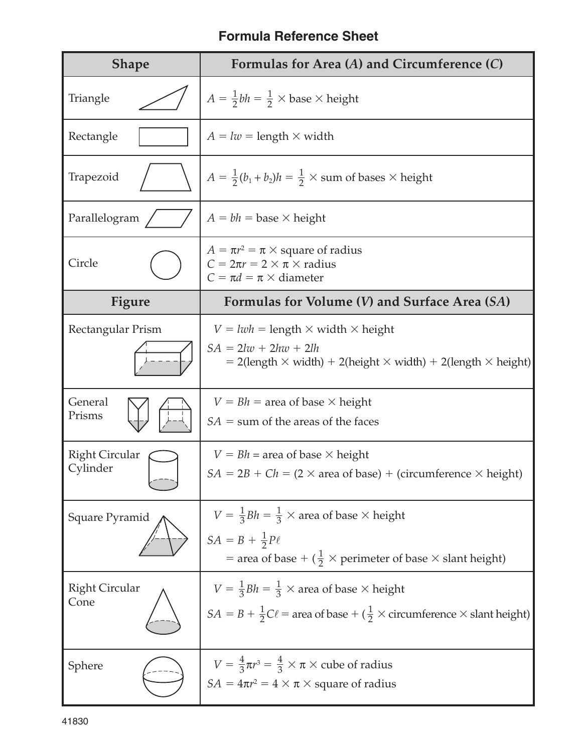## **Formula Reference Sheet**

| <b>Shape</b>                      | Formulas for Area $(A)$ and Circumference $(C)$                                                                                                                                         |
|-----------------------------------|-----------------------------------------------------------------------------------------------------------------------------------------------------------------------------------------|
| Triangle                          | $A = \frac{1}{2}bh = \frac{1}{2} \times \text{base} \times \text{height}$                                                                                                               |
| Rectangle                         | $A = lw =$ length $\times$ width                                                                                                                                                        |
| Trapezoid                         | $A = \frac{1}{2}(b_1 + b_2)h = \frac{1}{2} \times$ sum of bases $\times$ height                                                                                                         |
| Parallelogram                     | $A = bh$ = base $\times$ height                                                                                                                                                         |
| Circle                            | $A = \pi r^2 = \pi \times$ square of radius<br>$C = 2\pi r = 2 \times \pi \times$ radius<br>$C = \pi d = \pi \times$ diameter                                                           |
| <b>Figure</b>                     | Formulas for Volume $(V)$ and Surface Area $(SA)$                                                                                                                                       |
| Rectangular Prism                 | $V = lwh = length \times width \times height$<br>$SA = 2lw + 2hw + 2lh$<br>$= 2$ (length $\times$ width) + 2(height $\times$ width) + 2(length $\times$ height)                         |
| General<br>Prisms                 | $V = Bh$ = area of base $\times$ height<br>$SA =$ sum of the areas of the faces                                                                                                         |
| <b>Right Circular</b><br>Cylinder | $V = Bh = \text{area of base} \times \text{height}$<br>$SA = 2B + Ch = (2 \times area \text{ of base}) + (circumference \times height)$                                                 |
| Square Pyramid                    | $V = \frac{1}{3}Bh = \frac{1}{3} \times$ area of base $\times$ height<br>$SA = B + \frac{1}{2}P\ell$<br>= area of base + $(\frac{1}{2} \times$ perimeter of base $\times$ slant height) |
| <b>Right Circular</b><br>Cone     | $V = \frac{1}{3}Bh = \frac{1}{3} \times$ area of base $\times$ height<br>$SA = B + \frac{1}{2}C\ell$ = area of base + ( $\frac{1}{2} \times$ circumference $\times$ slant height)       |
| Sphere                            | $V = \frac{4}{3}\pi r^3 = \frac{4}{3} \times \pi \times$ cube of radius<br>$SA = 4\pi r^2 = 4 \times \pi \times$ square of radius                                                       |